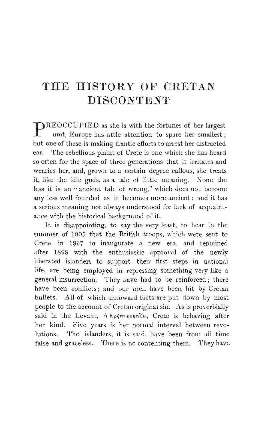**PREOCCUPIED** as she is with the fortunes of her largest unit, Europe has little attention to spare her smallest ; but one of these is making frantic efforts to arrest her distracted ear. The rebellious plaint of Crete is one which she has heard so often for the space of three generations that it irritates and wearies her, and, grown to a certain degree callous, she treats it, like the idle gods, as a tale of little meaning. None the less it is an " ancient tale of wrong," which does not become any less well founded as it becomes more ancient ; and it has a serious meaning not always understood for lack of acquaintance with the historical background of it.

It is disappointing, to say the very least, to hear in the summer of 1905 that the British troops, which were sent to Crete in 1897 to inaugurate a new era, and remained after 1898 with the enthusiastic approval of the newly liberated islanders to support their first steps in national life, are being employed in repressing something very like a general insurrection. They have had to be reinforced ; there have been conflicts ; and our men have been hit by Cretan bullets. All of which untoward facts are put down by most people to the account of Cretan original sin. As is proverbially said in the Levant,  $\eta$  Kp $\eta$ <sup>+</sup>r<sub>n</sub>  $\kappa$ p $\eta$ <sup>+</sup>i $\zeta$ <sub>Ei</sub>, Crete is behaving after her kind. Five years is her normal interval between revolutions. The islanders, it is said, have been from all time false and graceless. There is no contenting them. They have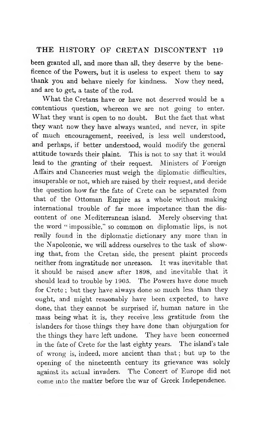been granted all, and more than all, they deserve by the beneficence of the Powers, but it is useless to expect them to say thank you and behave nicely for kindness. Now they need, and are to get, a taste of the rod.

What the Cretans have or have not deserved would be a contentious question, whereon we are not going to enter. What they want is open to no doubt. But the fact that what they want now they have always wanted, and never, in spite of much encouragement, received, is less well understood, and perhaps, if better understood, would modify the general attitude towards their plaint. This is not to say that it would lead to the granting of their request. Ministers of Foreign Affairs and Chanceries must weigh the diplomatic difficulties, insuperable or not, which are raised by their request, and decide the question how far the fate of Crete can be separated from that of the Ottoman Empire as a whole without making international trouble of far more importance than the discontent of one Mediterranean island. Merely observing that the word " impossible," so common on diplomatic lips, is not really found in the diplomatic dictionary any more than in the Napoleonic, we will address ourselves to the task of showing that, from the Cretan side, the present plaint proceeds neither from ingratitude nor unreason. It was inevitable that it should be raised anew after 1898, and inevitable that it should lead to trouble by 1905. The Powers have done much for Crete ; but they have always done so much less than they ought, and might reasonably have been expected, to have done, that they cannot be surprised if, human nature in the mass being what it is, they receive less gratitude from the islanders for those things they have done than objurgation for the things they have left undone. They have been concerned in the fate of Crete for the last eighty years. The island's tale of wrong is, indeed, more ancient than that ; but up to the opening of the nineteenth century its grievance was solely against its actual invaders. The Concert of Europe did not come into the matter before the war of Greek Independence.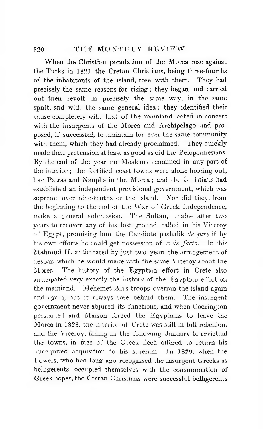#### 120 **THE MONTHLY REVIEW**

When the Christian population of the Morea rose against the Turks in 1821, the Cretan Christians, being three-fourths of the inhabitants of the island, rose with them. They had precisely the same reasons for rising ; they began and carried out their revolt in precisely the same way, in the same spirit, and with the same general idea ; they identified their cause completely with that of the mainland, acted in concert with the insurgents of the Morea and Archipelago, and proposed, if successful, to maintain for ever the same community with them, which they had already proclaimed. They quickly made their pretension at least as good as did the Peloponnesians. By the end of the year no Moslems remained in any part of the interior ; the fortified coast towns were alone holding out, like Patras and Nauplia in the Morea; and the Christians had established an independent provisional government, which was supreme over nine-tenths of the island. Nor did they, from the beginning to the end of the War of Greek Independence, make a general submission. The Sultan, unable after two years to recover any of his lost ground, called in his Viceroy of Egypt, promising him the Candiote pashalik *de jure* if by his own efforts he could get possession of it *de facto.* In this Mahmud II. anticipated by just two years the arrangement of despair which he would make with the same Viceroy about the Morea. The history of the Egyptian effort in Crete also anticipated very exactly the history of the Egyptian effort on the mainland. Mehemet AJi's troops overran the island again and again, but it always rose behind them. The insurgent government never abjured its functions, and when Codrington persuaded and Maison forced the Egyptians to leave the Morea in 1828, the interior of Crete was still in full rebellion, and the Viceroy, failing in the following January to revictual the towns, in face of the Greek fleet, offered to return his unacquired acquisition to his suzerain. In 1829, when the Powers, who had long ago recognised the insurgent Greeks as belligerents, occupied themselves with the consummation of Greek hopes, the Cretan Christians were successful belligerents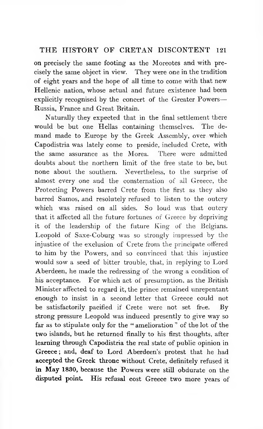**on** precisely the same footing as the Moreotes and with precisely the same object in view. They were one in the tradition of eight years and the hope of all time to come with that new Hellenic nation, whose actual and future existence had been explicitly recognised by the concert of the Greater Powers— Russia, France and Great Britain.

Naturally they expected that in the final settlement there would be but one Hellas containing themselves. The demand made to Europe by the Greek Assembly, over which Capodistria was lately come to preside, included Crete, with the same assurance as the Morea. There were admitted doubts about the northern limit of the free state to be, but none about the southern. Nevertheless, to the surprise of almost every one and the consternation of all Greece, the Protecting Powers barred Crete from the first as they also barred Samos, and resolutely refused to listen to the outcry which was raised on all sides. So loud was that outcry that it affected all the future fortunes of Greece by depriving it of the leadership of the future King of the Belgians. Leopold of Saxe-Coburg was so strongly impressed by the injustice of the exclusion of Crete from the principate offered to him by the Powers, and so convinced that this injustice would sow a seed of bitter trouble, that, in replying to Lord Aberdeen, he made the redressing of the wrong a condition of his acceptance. For which act of presumption, as the British Minister affected to regard it, the prince remained unrepentant enough to insist in a second letter that Greece could not be satisfactorily pacified if Crete were not set free. By strong pressure Leopold was induced presently to give way so **far** as to stipulate only for the " amelioration " of the lot of the two **islands,** but **he** returned finally to his first thoughts, after **learning through Capodistria the** real state **of** public opinion in **Greece ; and, deaf to Lord Aberdeen's** protest that he had **accepted the Greek throne without** Crete, **definitely** refused it **in May 1830, because the** Powers were **still** obdurate on the **disputed point. His refusal cost Greece** two more years of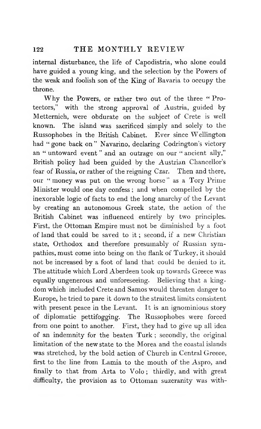internal disturbance, the life of Capodistria, who alone could have guided a young king, and the selection by the Powers of the weak and foolish son of the King of Bavaria to occupy the throne.

Why the Powers, or rather two out of the three "Protectors," with the strong approval of Austria, guided by Metternich, were obdurate on the subject of Crete is well known. The island was sacrificed simply and solely to the Russophobes in the British Cabinet. Ever since Wellington had " gone back on " Navarino, declaring Codrington's victory an " untoward event " and an outrage on our " ancient ally," British policy had been guided by the Austrian Chancellor's fear of Russia, or rather of the reigning Czar. Then and there, our " money was put on the wrong horse" as a Tory Prime Minister would one day confess ; and when compelled by the inexorable logic of facts to end the long anarchy of the Levant by creating an autonomous Greek state, the action of the British Cabinet was influenced entirely by two principles. First, the Ottoman Empire must not be diminished by a foot of land that could be saved to it ; second, if a new Christian state, Orthodox and therefore presumably of Russian sympathies, must come into being on the flank of Turkey, it should not be increased by a foot of land that could be denied to it. The attitude which Lord Aberdeen took up towards Greece was equally ungenerous and unforeseeing. Believing that a kingdom which included Crete and Samos would threaten danger to Europe, he tried to pare it down to the straitest limits consistent with present peace in the Levant. It is an ignominious story of diplomatic pettifogging. The Russophobes were forced from one point to another. First, they had to give up all idea of an indemnity for the beaten Turk ; secondly, the original limitation of the new state to the Morea and the coastal islands was stretched, by the bold action of Church in Central Greece, first to the line from Lamia to the mouth of the Aspro, and finally to that from Arta to Volo ; thirdly, and with great difficulty, the provision as to Ottoman suzeranity was with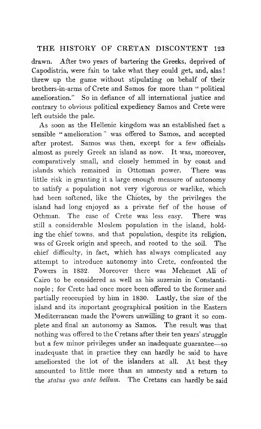drawn. After two years of bartering the Greeks, deprived of Capodistria, were fain to take what they could get, and, alas ! threw up the game without stipulating on behalf of their brothers-in-arms of Crete and Samos for more than " political amelioration." So in defiance of all international justice and contrary to obvious political expediency Samos and Crete were left outside the pale.

As soon as the Hellenic kingdom was an established fact a sensible " amelioration " was offered to Samos, and accepted after protest. Samos was then, except for a few officials, almost as purely Greek an island as now. It was, moreover, comparatively small, and closely hemmed in by coast and islands which remained in Ottoman power. There was little risk in granting it a large enough measure of autonomy to satisfy a population not very vigorous or warlike, which had been softened, like the Chiotes, by the privileges the island had long enjoyed as a private fief of the house of Othman. The case of Crete was less easy. There was still a considerable Moslem population in the island, holding the chief towns, and that population, despite its religion, was of Greek origin and speech, and rooted to the soil. The chief difficulty, in fact, which has always complicated any attempt to introduce autonomy into Crete, confronted the Powers in 1832. Moreover there was Mehemet Ali of Cairo to be considered as well as his suzerain in Constantinople ; for Crete had once more been offered to the former and partially reoccupied by him in 1830. Lastly, the size of the island and its important geographical position in the Eastern Mediterranean made the Powers unwilling to grant it so complete and final an autonomy as Samos. The result was that nothing was offered to the Cretans after their ten years' struggle but a few minor privileges under an inadequate guarantee-so inadequate that in practice they can hardly be said to have ameliorated the lot of the islanders at all. At best they amounted to little more than an amnesty and a return to the *status quo ante bellum*. The Cretans can hardly be said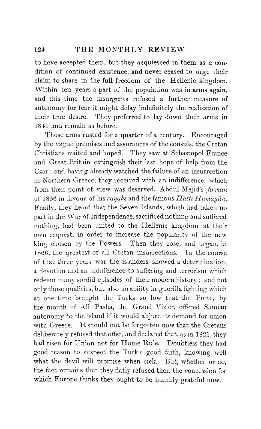to have accepted them, but they acquiesced in them as a condition of continued existence, and never ceased to urge their claim to share in the full freedom of the Hellenic kingdom. Within ten years a part of the population was in arms again, and this time the insurgents refused a further measure of autonomy for fear it might delay indefinitely the realisation of their true desire. They preferred to lay down their arms in 1841 and remain as before.

Those arms rusted for a quarter of a century. Encouraged by the vague promises and assurances of the consuls, the Cretan Christians waited and hoped. They saw at Sebastopol France and Great Britain extinguish their last hope of help from the Czar ; and having already watched the failure of an insurrection in Northern Greece, they received with an indifference, which from their point of view was deserved, Abdul Mejid's *firman* of 1856 in favour of his *rayahs* and the famous *Hatti Humayun.* Fnally, they heard that the Seven Islands, which had taken no part in the War of Independence, sacrificed nothing and suffered nothing, had been united to the Hellenic kingdom at their own request, in order to increase the popularity of the new king chosen by the Powers. Then they rose, and began, in 1866, the greatest of all Cretan insurrections. In the course of that three years' war the islanders showed a determination, a devotion and an indifference to suffering and terrorism which redeem many sordid episodes of their modern history ; and not only those qualities, but also an ability in guerilla fighting which at one time brought the Turks so low that the Porte, by the mouth of Ali Pasha, the Grand Vizier, offered Samian autonomy to the island if it would abjure its demand for union with Greece. It should not be forgotten now that the Cretans deliberately refused that offer, and declared that, as in 1821, they had risen for Union not for Home Rule. Doubtless they had good reason to suspect the Turk's good faith, knowing well what the devil will promise when sick. But, whether or no, the fact remains that they flatly refused then the concession for which Europe thinks they ought to be humbly grateful now.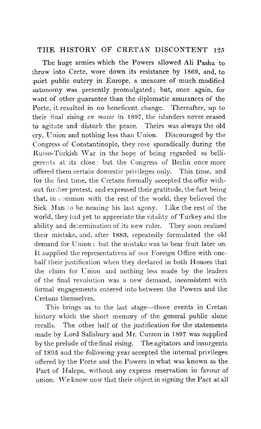The huge armies which the Powers allowed Ali Pasha to throw into Crete, wore down its resistance by 1869, and, to quiet public outcry in Europe, a measure of much modified autonomy was presently promulgated; but, once again, for want of other guarantee than the diplomatic assurances of the Porte, it resulted in no beneficent change. Thereafter, up to their final rising *en masse* in 1897, the islanders never ceased to agitate and disturb the peace. Theirs was always the old cry, Union and nothing less than Union. Discouraged by the Congress of Constantinople, they rose sporadically during the Russo-Turkish War in the hope of being regarded as belligerents at its close : but the Congress of Berlin once more offered them certain domestic privileges only. This time, and for the first time, the Cretans formally accepted the offer without further protest, and expressed their gratitude, the fact being that, in common with the rest of the world, they believed the Sick Man to be nearing his last agony. Like the rest of the world, they had yet to appreciate the vitality of Turkey and the ability and determination of its new ruler. They soon realised their mistake, and, after 1883, repeatedly formulated the old demand for Union; but the mistake was to bear fruit later on. It supplied the representatives of our Foreign Office with onehalf their justification when they declared in both Houses that the claim for Union and nothing less made by the leaders of the final revolution was a new demand, inconsistent with formal engagements entered into between the Powers and the Cretans themselves.

This brings us to the last stage—'those events in Cretan history which the short memory of the general public alone recalls. The other half of the justification for the statements made by Lord Salisbury and Mr. Curzon in 1897 was supplied by the prelude of the final rising. The agitators and insurgents of 1895 and the following year accepted the internal privileges offered by the Porte and the Powers in what was known as the Pact of Halepa, without any express reservation in favour of union. We know now that their object in signing the Pact at all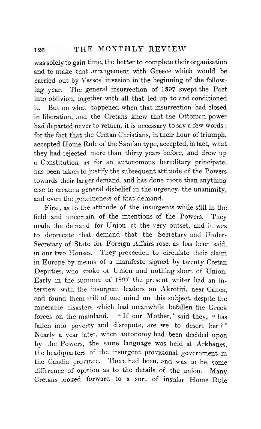## **126 the monthly review**

was solely to gain time, the better to complete their organisation and to make that arrangement with Greece which would be carried out by Vassos' invasion in the beginning of the following year. The general insurrection of 1897 swept the Pact into oblivion, together with all that led up to and conditioned it. But on what happened when that insurrection had closed in liberation, and the Cretans knew that the Ottoman power had departed never to return, it is necessary to say a few words ; for the fact that the Cretan Christians, in their hour of triumph, accepted Home Rule of the Samian type, accepted, in fact, what they had rejected more than thirty years before, and drew up a Constitution as for an autonomous hereditary principate, has been taken to justify the subsequent attitude of the Powers towards their larger demand, and has done more than anything else to create a general disbelief in the urgency, the unanimity, and even the genuineness of that demand.

First, as to the attitude of the insurgents while still in the field and uncertain of the intentions of the Powers. They made the demand for Union at the very outset, and it was to deprecate that demand that the Secretary and Under-Secretary of State for Foreign Affairs rose, as has been said, in our two Houses. They proceeded to circulate their claim in Europe by means of a manifesto signed by twenty Cretan Deputies, who spoke of Union and nothing short of Union. Early in the summer of 1897 the present writer had an interview with the insurgent leaders on Akrotiri, near Canea, and found them still of one mind on this subject, despite the miserable disasters which had meanwhile befallen the Greek forces on the mainland. " If our Mother," said they, " has fallen into poverty and disrepute, are we to desert her?" Nearly a year later, when autonomy had been decided upon by the Powers, the same language was held at Arkhanes, the headquarters of the insurgent provisional government in the Candia province. There had been, and was to be, some difference of opinion as to the details of the union. Many Cretans looked forward to a sort of insular Home Rule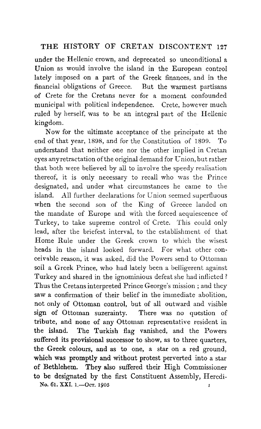under the Hellenic crown, and deprecated so unconditional a Union as would involve the island in the European control lately imposed on a part of the Greek finances, and in the financial obligations of Greece. But the warmest partisans of Crete for the Cretans never for a moment confounded municipal with political independence. Crete, however much ruled by herself, was to be an integral part of the Hellenic kingdom.

Now for the ultimate acceptance of the principate at the end of that year, 1898, and for the Constitution of 1899. To understand that neither one nor the other implied in Cretan eyes any retractation of the original demand for Union, but rather that both were believed by all to involve the speedy realisation thereof, it is only necessary to recall who was the Prince designated, and under what circumstances he came to the island. All further declarations for Union seemed superfluous when the second son of the King of Greece landed on the mandate of Europe and with the forced acquiescence of Turkey, to take supreme control of Crete. This could only lead, after the briefest interval, to the establishment of that Home Rule under the Greek crown to which the wisest heads in the island looked forward. For what other conceivable reason, it was asked, did the Powers send to Ottoman soil a Greek Prince, who had lately been a belligerent against Turkey and shared in the ignominious defeat she had inflicted ? Thus the Cretans interpreted Prince George's mission ; and they saw a confirmation of their belief in the immediate abolition, not only of Ottoman control, but of all outward and visible sign of Ottoman suzerainty. There was no question of tribute, and none of any Ottoman representative resident in **the** island. **The** Turkish flag vanished, and the Powers **suffered its** provisional successor to show, as to three quarters, **the Greek colours,** and as to one, a star on a red ground, **which was** promptly and without protest perverted into a star **of Bethlehem. They also** suffered their High Commissioner **to be designated by the** first Constituent Assembly, Heredi-No. **6l.** XXI. **1.— Oct. 1905 i**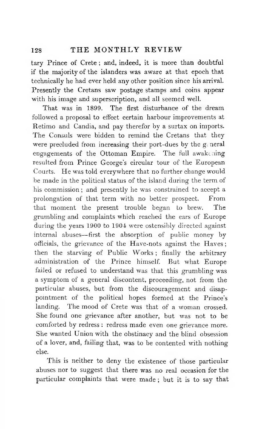## **128 THE M ONTHLY R E V IE W**

tary Prince of Crete ; and, indeed, it is more than doubtful if the majority of the islanders was aware at that epoch that technically he had ever held any other position since his arrival. Presently the Cretans saw postage stamps and coins appear with his image and superscription, and all seemed well.

That was in 1899. The first disturbance of the dream followed a proposal to effect certain harbour improvements at Retimo and Candia, and pay therefor by a surtax on imports. The Consuls were bidden to remind the Cretans that they were precluded from increasing their port-dues by the general engagements of the Ottoman Empire. The full awakening resulted from Prince George's circular tour of the European Courts. He was told everywhere that no further change would be made in the political status of the island during the term of his commission ; and presently he was constrained to accept a prolongation of that term with no better prospect. From that moment the present trouble began to brew. The grumbling and complaints which reached the ears of Europe during the years 1900 to 1901 were ostensibly directed against internal abuses— first the absorption of public money by officials, the grievance of the Have-nots against the Haves ; then the starving of Public Works ; finally the arbitrary administration of the Prince himself. But what Europe failed or refused to understand was that this grumbling was a symptom of a general discontent, proceeding, not from the particular abuses, but from the discouragement and disappointment of the political hopes formed at the Prince's landing. The mood of Crete was that of a woman crossed. She found one grievance after another, but was not to be comforted by redress : redress made even one grievance more. She wanted Union with the obstinacy and the blind obsession of a lover, and, failing that, was to be contented with nothing else.

This is neither to deny the existence of those particular abuses nor to suggest that there was no real occasion for the particular complaints that were made ; but it is to say that